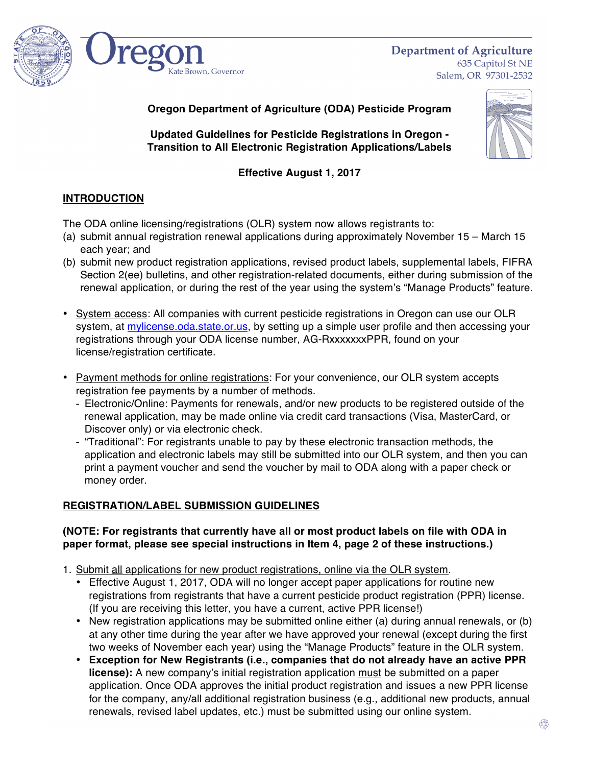

**Department of Agriculture** 635 Capitol St NE Salem, OR 97301-2532

**Oregon Department of Agriculture (ODA) Pesticide Program**

**Updated Guidelines for Pesticide Registrations in Oregon - Transition to All Electronic Registration Applications/Labels**

# **Effective August 1, 2017**

# **INTRODUCTION**

The ODA online licensing/registrations (OLR) system now allows registrants to:

- (a) submit annual registration renewal applications during approximately November 15 March 15 each year; and
- (b) submit new product registration applications, revised product labels, supplemental labels, FIFRA Section 2(ee) bulletins, and other registration-related documents, either during submission of the renewal application, or during the rest of the year using the system's "Manage Products" feature.
- System access: All companies with current pesticide registrations in Oregon can use our OLR system, at [mylicense.oda.state.or.us,](https://mylicense.oda.state.or.us) by setting up a simple user profile and then accessing your registrations through your ODA license number, AG-RxxxxxxxPPR, found on your license/registration certificate.
- Payment methods for online registrations: For your convenience, our OLR system accepts registration fee payments by a number of methods.
	- Electronic/Online: Payments for renewals, and/or new products to be registered outside of the renewal application, may be made online via credit card transactions (Visa, MasterCard, or Discover only) or via electronic check.
	- "Traditional": For registrants unable to pay by these electronic transaction methods, the application and electronic labels may still be submitted into our OLR system, and then you can print a payment voucher and send the voucher by mail to ODA along with a paper check or money order.

## **REGISTRATION/LABEL SUBMISSION GUIDELINES**

### **(NOTE: For registrants that currently have all or most product labels on file with ODA in paper format, please see special instructions in Item 4, page 2 of these instructions.)**

- 1. Submit all applications for new product registrations, online via the OLR system.
	- Effective August 1, 2017, ODA will no longer accept paper applications for routine new registrations from registrants that have a current pesticide product registration (PPR) license. (If you are receiving this letter, you have a current, active PPR license!)
	- New registration applications may be submitted online either (a) during annual renewals, or (b) at any other time during the year after we have approved your renewal (except during the first two weeks of November each year) using the "Manage Products" feature in the OLR system.
	- **Exception for New Registrants (i.e., companies that do not already have an active PPR license):** A new company's initial registration application must be submitted on a paper application. Once ODA approves the initial product registration and issues a new PPR license for the company, any/all additional registration business (e.g., additional new products, annual renewals, revised label updates, etc.) must be submitted using our online system.

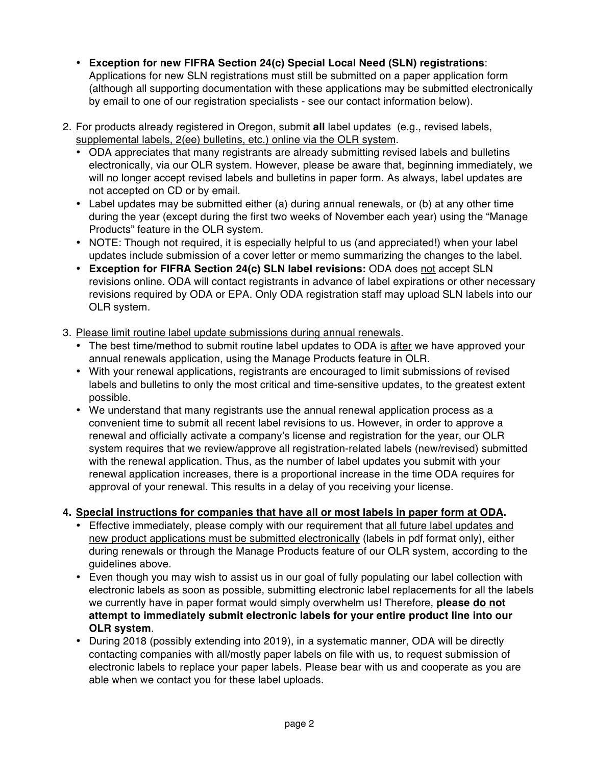- **Exception for new FIFRA Section 24(c) Special Local Need (SLN) registrations**: Applications for new SLN registrations must still be submitted on a paper application form (although all supporting documentation with these applications may be submitted electronically by email to one of our registration specialists - see our contact information below).
- 2. For products already registered in Oregon, submit **all** label updates (e.g., revised labels, supplemental labels, 2(ee) bulletins, etc.) online via the OLR system.
	- ODA appreciates that many registrants are already submitting revised labels and bulletins electronically, via our OLR system. However, please be aware that, beginning immediately, we will no longer accept revised labels and bulletins in paper form. As always, label updates are not accepted on CD or by email.
	- Label updates may be submitted either (a) during annual renewals, or (b) at any other time during the year (except during the first two weeks of November each year) using the "Manage Products" feature in the OLR system.
	- NOTE: Though not required, it is especially helpful to us (and appreciated!) when your label updates include submission of a cover letter or memo summarizing the changes to the label.
	- **Exception for FIFRA Section 24(c) SLN label revisions:** ODA does not accept SLN revisions online. ODA will contact registrants in advance of label expirations or other necessary revisions required by ODA or EPA. Only ODA registration staff may upload SLN labels into our OLR system.
- 3. Please limit routine label update submissions during annual renewals.
	- The best time/method to submit routine label updates to ODA is after we have approved your annual renewals application, using the Manage Products feature in OLR.
	- With your renewal applications, registrants are encouraged to limit submissions of revised labels and bulletins to only the most critical and time-sensitive updates, to the greatest extent possible.
	- We understand that many registrants use the annual renewal application process as a convenient time to submit all recent label revisions to us. However, in order to approve a renewal and officially activate a company's license and registration for the year, our OLR system requires that we review/approve all registration-related labels (new/revised) submitted with the renewal application. Thus, as the number of label updates you submit with your renewal application increases, there is a proportional increase in the time ODA requires for approval of your renewal. This results in a delay of you receiving your license.

## **4. Special instructions for companies that have all or most labels in paper form at ODA.**

- Effective immediately, please comply with our requirement that all future label updates and new product applications must be submitted electronically (labels in pdf format only), either during renewals or through the Manage Products feature of our OLR system, according to the guidelines above.
- Even though you may wish to assist us in our goal of fully populating our label collection with electronic labels as soon as possible, submitting electronic label replacements for all the labels we currently have in paper format would simply overwhelm us! Therefore, **please do not attempt to immediately submit electronic labels for your entire product line into our OLR system**.
- During 2018 (possibly extending into 2019), in a systematic manner, ODA will be directly contacting companies with all/mostly paper labels on file with us, to request submission of electronic labels to replace your paper labels. Please bear with us and cooperate as you are able when we contact you for these label uploads.